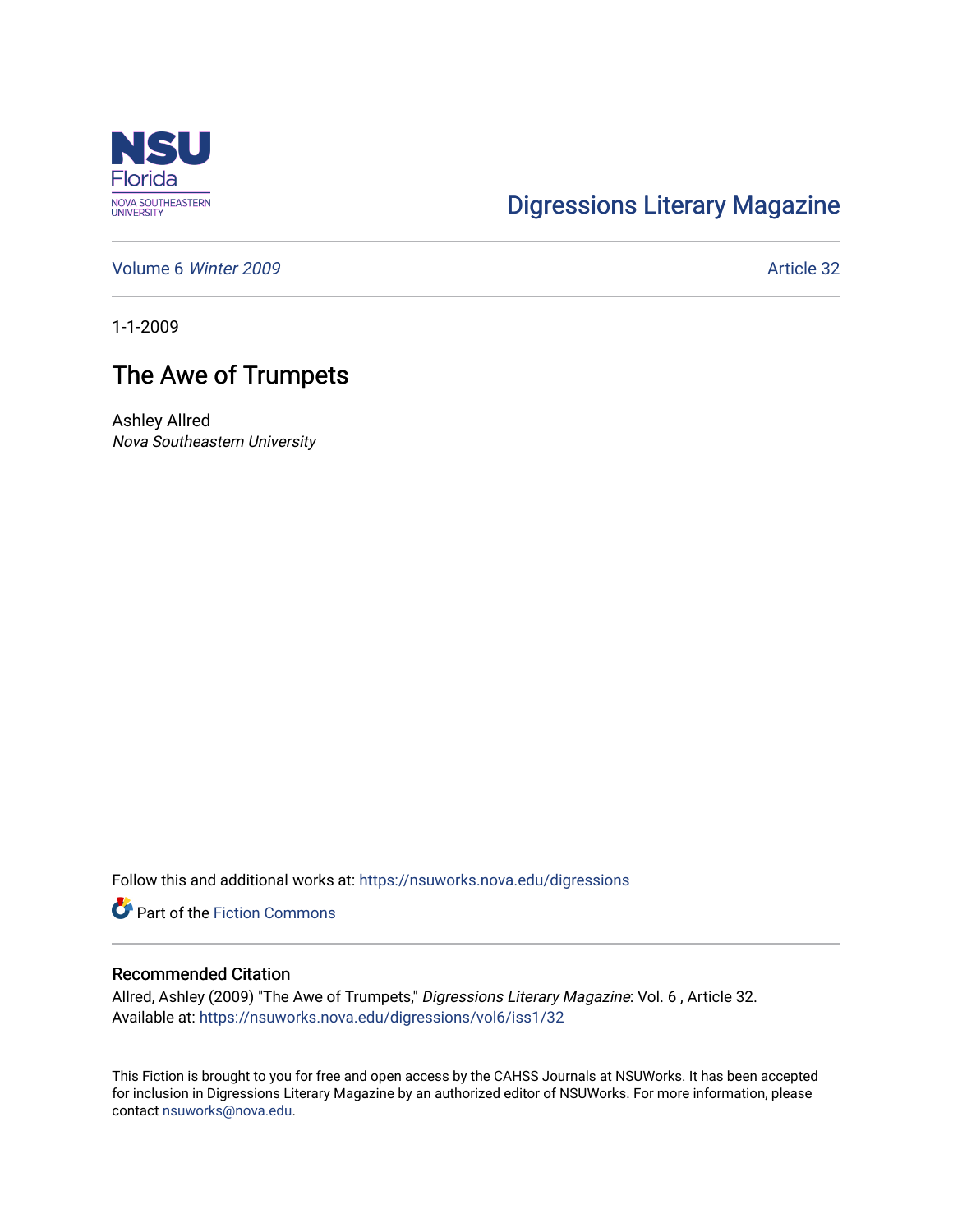

## [Digressions Literary Magazine](https://nsuworks.nova.edu/digressions)

[Volume 6](https://nsuworks.nova.edu/digressions/vol6) Winter 2009 **Article 32** 

1-1-2009

## The Awe of Trumpets

Ashley Allred Nova Southeastern University

Follow this and additional works at: [https://nsuworks.nova.edu/digressions](https://nsuworks.nova.edu/digressions?utm_source=nsuworks.nova.edu%2Fdigressions%2Fvol6%2Fiss1%2F32&utm_medium=PDF&utm_campaign=PDFCoverPages) 

**Part of the Fiction Commons** 

## Recommended Citation

Allred, Ashley (2009) "The Awe of Trumpets," Digressions Literary Magazine: Vol. 6 , Article 32. Available at: [https://nsuworks.nova.edu/digressions/vol6/iss1/32](https://nsuworks.nova.edu/digressions/vol6/iss1/32?utm_source=nsuworks.nova.edu%2Fdigressions%2Fvol6%2Fiss1%2F32&utm_medium=PDF&utm_campaign=PDFCoverPages) 

This Fiction is brought to you for free and open access by the CAHSS Journals at NSUWorks. It has been accepted for inclusion in Digressions Literary Magazine by an authorized editor of NSUWorks. For more information, please contact [nsuworks@nova.edu.](mailto:nsuworks@nova.edu)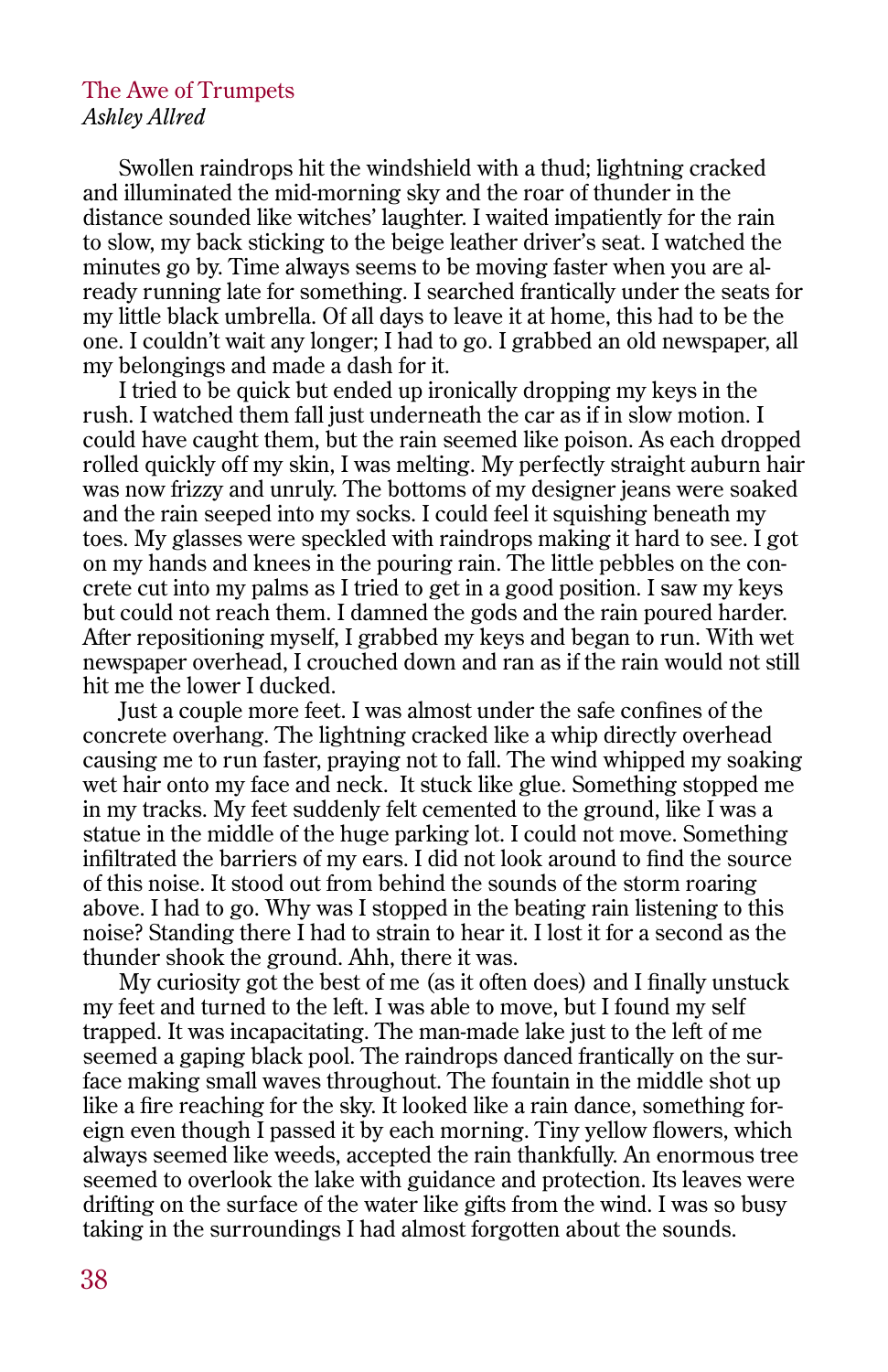## The Awe of Trumpets *Ashley Allred*

Swollen raindrops hit the windshield with a thud; lightning cracked and illuminated the mid-morning sky and the roar of thunder in the distance sounded like witches' laughter. I waited impatiently for the rain to slow, my back sticking to the beige leather driver's seat. I watched the minutes go by. Time always seems to be moving faster when you are already running late for something. I searched frantically under the seats for my little black umbrella. Of all days to leave it at home, this had to be the one. I couldn't wait any longer; I had to go. I grabbed an old newspaper, all my belongings and made a dash for it.

I tried to be quick but ended up ironically dropping my keys in the rush. I watched them fall just underneath the car as if in slow motion. I could have caught them, but the rain seemed like poison. As each dropped rolled quickly off my skin, I was melting. My perfectly straight auburn hair was now frizzy and unruly. The bottoms of my designer jeans were soaked and the rain seeped into my socks. I could feel it squishing beneath my toes. My glasses were speckled with raindrops making it hard to see. I got on my hands and knees in the pouring rain. The little pebbles on the concrete cut into my palms as I tried to get in a good position. I saw my keys but could not reach them. I damned the gods and the rain poured harder. After repositioning myself, I grabbed my keys and began to run. With wet newspaper overhead, I crouched down and ran as if the rain would not still hit me the lower I ducked.

Just a couple more feet. I was almost under the safe confines of the concrete overhang. The lightning cracked like a whip directly overhead causing me to run faster, praying not to fall. The wind whipped my soaking wet hair onto my face and neck. It stuck like glue. Something stopped me in my tracks. My feet suddenly felt cemented to the ground, like I was a statue in the middle of the huge parking lot. I could not move. Something infiltrated the barriers of my ears. I did not look around to find the source of this noise. It stood out from behind the sounds of the storm roaring above. I had to go. Why was I stopped in the beating rain listening to this noise? Standing there I had to strain to hear it. I lost it for a second as the thunder shook the ground. Ahh, there it was.

My curiosity got the best of me (as it often does) and I finally unstuck my feet and turned to the left. I was able to move, but I found my self trapped. It was incapacitating. The man-made lake just to the left of me seemed a gaping black pool. The raindrops danced frantically on the surface making small waves throughout. The fountain in the middle shot up like a fire reaching for the sky. It looked like a rain dance, something foreign even though I passed it by each morning. Tiny yellow flowers, which always seemed like weeds, accepted the rain thankfully. An enormous tree seemed to overlook the lake with guidance and protection. Its leaves were drifting on the surface of the water like gifts from the wind. I was so busy taking in the surroundings I had almost forgotten about the sounds.